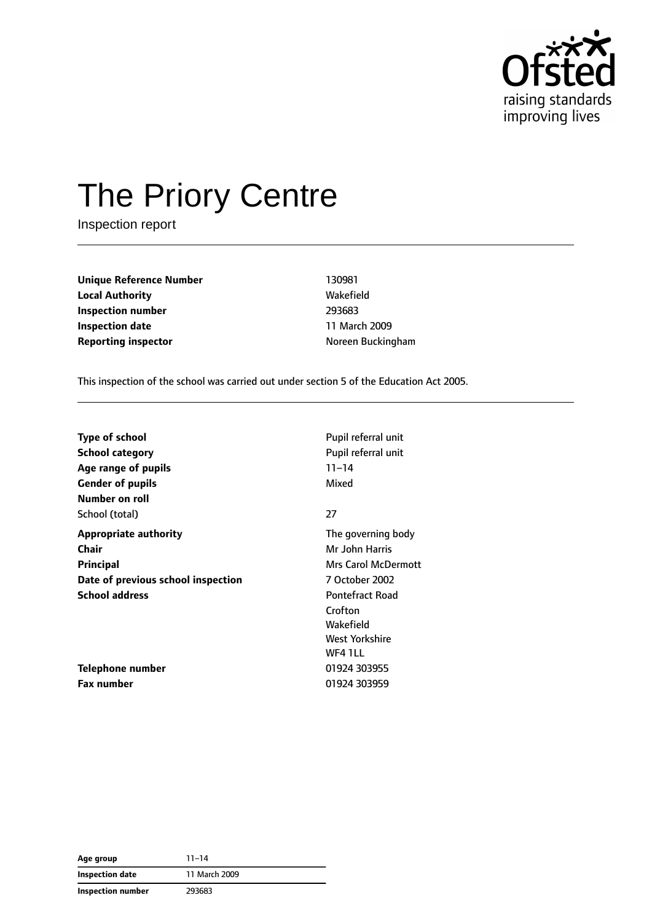

# The Priory Centre

Inspection report

**Unique Reference Number** 130981 **Local Authority Wakefield Inspection number** 293683 **Inspection date** 11 March 2009 **Reporting inspector Note and Separate Interventional Reporting inspector**  $\blacksquare$ 

This inspection of the school was carried out under section 5 of the Education Act 2005.

| <b>Type of school</b><br>School category<br>Age range of pupils | Pupil referral unit<br>Pupil referral unit<br>$11 - 14$ |
|-----------------------------------------------------------------|---------------------------------------------------------|
| <b>Gender of pupils</b>                                         | Mixed                                                   |
| Number on roll                                                  |                                                         |
| School (total)                                                  | 27                                                      |
| <b>Appropriate authority</b>                                    | The governing body                                      |
| Chair                                                           | Mr John Harris                                          |
| Principal                                                       | <b>Mrs Carol McDermott</b>                              |
| Date of previous school inspection                              | 7 October 2002                                          |
| <b>School address</b>                                           | <b>Pontefract Road</b>                                  |
|                                                                 | Crofton                                                 |
|                                                                 | Wakefield                                               |
|                                                                 | West Yorkshire                                          |
|                                                                 | WF4 1LL                                                 |
| Telephone number                                                | 01924 303955                                            |
| <b>Fax number</b>                                               | 01924 303959                                            |

| Age group         | $11 - 14$     |
|-------------------|---------------|
| Inspection date   | 11 March 2009 |
| Inspection number | 293683        |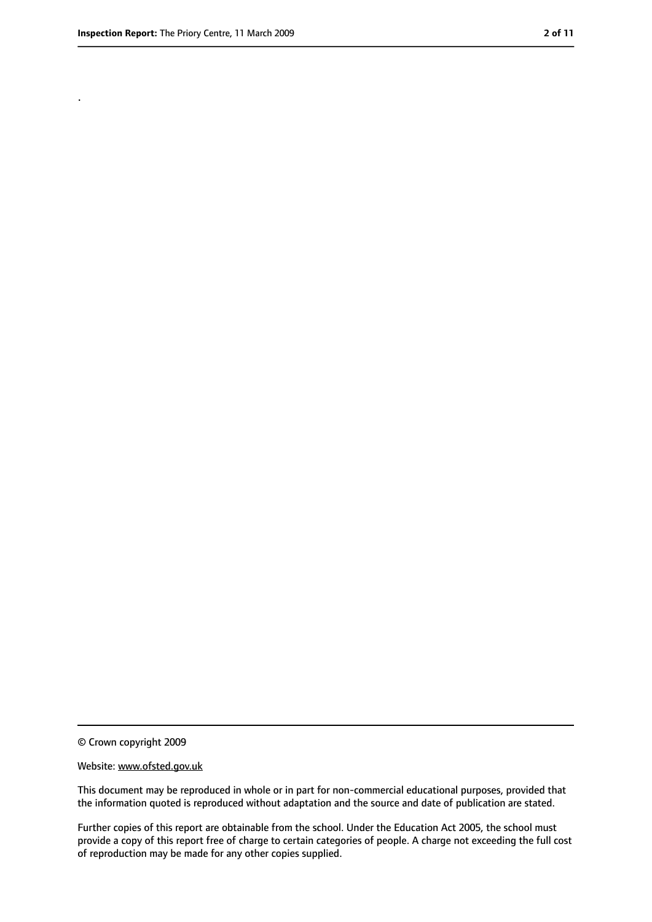.

<sup>©</sup> Crown copyright 2009

Website: www.ofsted.gov.uk

This document may be reproduced in whole or in part for non-commercial educational purposes, provided that the information quoted is reproduced without adaptation and the source and date of publication are stated.

Further copies of this report are obtainable from the school. Under the Education Act 2005, the school must provide a copy of this report free of charge to certain categories of people. A charge not exceeding the full cost of reproduction may be made for any other copies supplied.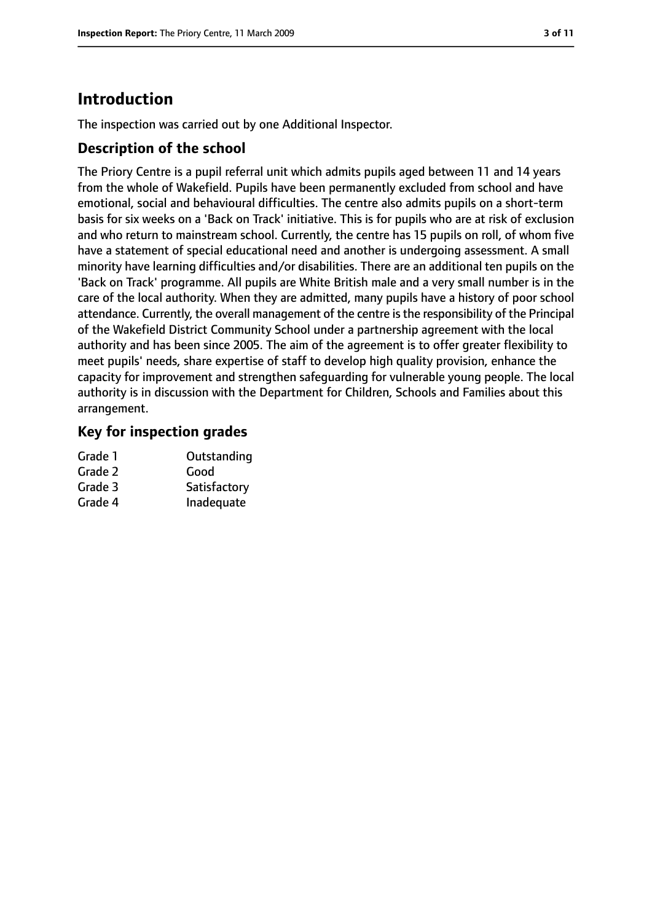# **Introduction**

The inspection was carried out by one Additional Inspector.

## **Description of the school**

The Priory Centre is a pupil referral unit which admits pupils aged between 11 and 14 years from the whole of Wakefield. Pupils have been permanently excluded from school and have emotional, social and behavioural difficulties. The centre also admits pupils on a short-term basis for six weeks on a 'Back on Track' initiative. This is for pupils who are at risk of exclusion and who return to mainstream school. Currently, the centre has 15 pupils on roll, of whom five have a statement of special educational need and another is undergoing assessment. A small minority have learning difficulties and/or disabilities. There are an additional ten pupils on the 'Back on Track' programme. All pupils are White British male and a very small number is in the care of the local authority. When they are admitted, many pupils have a history of poor school attendance. Currently, the overall management of the centre isthe responsibility of the Principal of the Wakefield District Community School under a partnership agreement with the local authority and has been since 2005. The aim of the agreement is to offer greater flexibility to meet pupils' needs, share expertise of staff to develop high quality provision, enhance the capacity for improvement and strengthen safeguarding for vulnerable young people. The local authority is in discussion with the Department for Children, Schools and Families about this arrangement.

# **Key for inspection grades**

| Grade 1 | Outstanding  |
|---------|--------------|
| Grade 2 | Good         |
| Grade 3 | Satisfactory |
| Grade 4 | Inadequate   |
|         |              |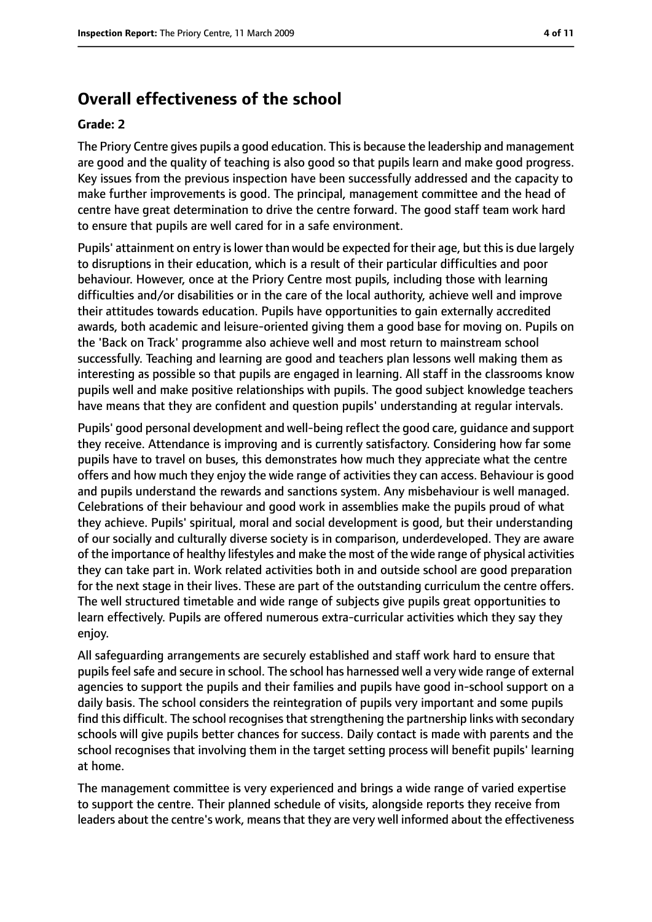# **Overall effectiveness of the school**

#### **Grade: 2**

The Priory Centre gives pupils a good education. This is because the leadership and management are good and the quality of teaching is also good so that pupils learn and make good progress. Key issues from the previous inspection have been successfully addressed and the capacity to make further improvements is good. The principal, management committee and the head of centre have great determination to drive the centre forward. The good staff team work hard to ensure that pupils are well cared for in a safe environment.

Pupils' attainment on entry is lower than would be expected for their age, but this is due largely to disruptions in their education, which is a result of their particular difficulties and poor behaviour. However, once at the Priory Centre most pupils, including those with learning difficulties and/or disabilities or in the care of the local authority, achieve well and improve their attitudes towards education. Pupils have opportunities to gain externally accredited awards, both academic and leisure-oriented giving them a good base for moving on. Pupils on the 'Back on Track' programme also achieve well and most return to mainstream school successfully. Teaching and learning are good and teachers plan lessons well making them as interesting as possible so that pupils are engaged in learning. All staff in the classrooms know pupils well and make positive relationships with pupils. The good subject knowledge teachers have means that they are confident and question pupils' understanding at regular intervals.

Pupils' good personal development and well-being reflect the good care, guidance and support they receive. Attendance is improving and is currently satisfactory. Considering how far some pupils have to travel on buses, this demonstrates how much they appreciate what the centre offers and how much they enjoy the wide range of activities they can access. Behaviour is good and pupils understand the rewards and sanctions system. Any misbehaviour is well managed. Celebrations of their behaviour and good work in assemblies make the pupils proud of what they achieve. Pupils' spiritual, moral and social development is good, but their understanding of our socially and culturally diverse society is in comparison, underdeveloped. They are aware of the importance of healthy lifestyles and make the most of the wide range of physical activities they can take part in. Work related activities both in and outside school are good preparation for the next stage in their lives. These are part of the outstanding curriculum the centre offers. The well structured timetable and wide range of subjects give pupils great opportunities to learn effectively. Pupils are offered numerous extra-curricular activities which they say they enjoy.

All safeguarding arrangements are securely established and staff work hard to ensure that pupils feel safe and secure in school. The school has harnessed well a very wide range of external agencies to support the pupils and their families and pupils have good in-school support on a daily basis. The school considers the reintegration of pupils very important and some pupils find this difficult. The school recognises that strengthening the partnership links with secondary schools will give pupils better chances for success. Daily contact is made with parents and the school recognises that involving them in the target setting process will benefit pupils' learning at home.

The management committee is very experienced and brings a wide range of varied expertise to support the centre. Their planned schedule of visits, alongside reports they receive from leaders about the centre's work, means that they are very well informed about the effectiveness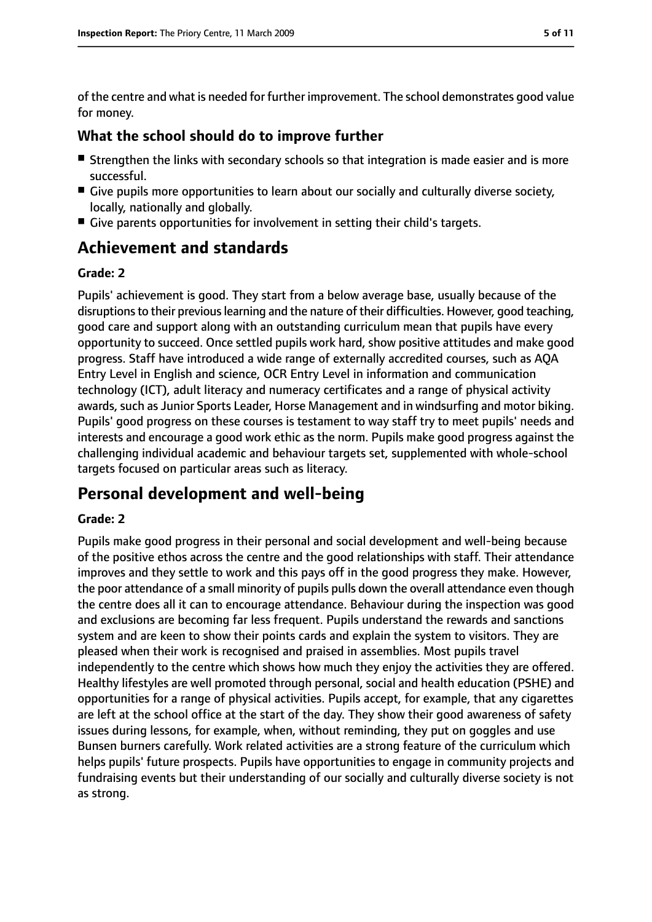of the centre and what is needed for further improvement. The school demonstrates good value for money.

#### **What the school should do to improve further**

- Strengthen the links with secondary schools so that integration is made easier and is more successful.
- Give pupils more opportunities to learn about our socially and culturally diverse society, locally, nationally and globally.
- Give parents opportunities for involvement in setting their child's targets.

# **Achievement and standards**

#### **Grade: 2**

Pupils' achievement is good. They start from a below average base, usually because of the disruptions to their previous learning and the nature of their difficulties. However, good teaching, good care and support along with an outstanding curriculum mean that pupils have every opportunity to succeed. Once settled pupils work hard, show positive attitudes and make good progress. Staff have introduced a wide range of externally accredited courses, such as AQA Entry Level in English and science, OCR Entry Level in information and communication technology (ICT), adult literacy and numeracy certificates and a range of physical activity awards, such as Junior Sports Leader, Horse Management and in windsurfing and motor biking. Pupils' good progress on these courses is testament to way staff try to meet pupils' needs and interests and encourage a good work ethic as the norm. Pupils make good progress against the challenging individual academic and behaviour targets set, supplemented with whole-school targets focused on particular areas such as literacy.

# **Personal development and well-being**

#### **Grade: 2**

Pupils make good progress in their personal and social development and well-being because of the positive ethos across the centre and the good relationships with staff. Their attendance improves and they settle to work and this pays off in the good progress they make. However, the poor attendance of a small minority of pupils pulls down the overall attendance even though the centre does all it can to encourage attendance. Behaviour during the inspection was good and exclusions are becoming far less frequent. Pupils understand the rewards and sanctions system and are keen to show their points cards and explain the system to visitors. They are pleased when their work is recognised and praised in assemblies. Most pupils travel independently to the centre which shows how much they enjoy the activities they are offered. Healthy lifestyles are well promoted through personal, social and health education (PSHE) and opportunities for a range of physical activities. Pupils accept, for example, that any cigarettes are left at the school office at the start of the day. They show their good awareness of safety issues during lessons, for example, when, without reminding, they put on goggles and use Bunsen burners carefully. Work related activities are a strong feature of the curriculum which helps pupils' future prospects. Pupils have opportunities to engage in community projects and fundraising events but their understanding of our socially and culturally diverse society is not as strong.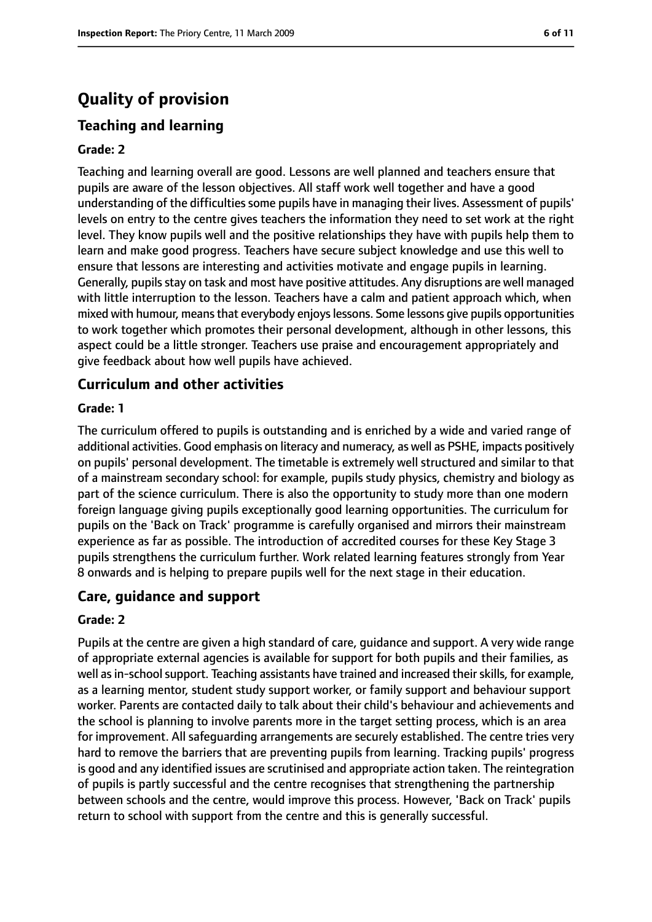# **Quality of provision**

# **Teaching and learning**

#### **Grade: 2**

Teaching and learning overall are good. Lessons are well planned and teachers ensure that pupils are aware of the lesson objectives. All staff work well together and have a good understanding of the difficulties some pupils have in managing their lives. Assessment of pupils' levels on entry to the centre gives teachers the information they need to set work at the right level. They know pupils well and the positive relationships they have with pupils help them to learn and make good progress. Teachers have secure subject knowledge and use this well to ensure that lessons are interesting and activities motivate and engage pupils in learning. Generally, pupilsstay on task and most have positive attitudes. Any disruptions are well managed with little interruption to the lesson. Teachers have a calm and patient approach which, when mixed with humour, means that everybody enjoys lessons. Some lessons give pupils opportunities to work together which promotes their personal development, although in other lessons, this aspect could be a little stronger. Teachers use praise and encouragement appropriately and give feedback about how well pupils have achieved.

#### **Curriculum and other activities**

#### **Grade: 1**

The curriculum offered to pupils is outstanding and is enriched by a wide and varied range of additional activities. Good emphasis on literacy and numeracy, as well as PSHE, impacts positively on pupils' personal development. The timetable is extremely well structured and similar to that of a mainstream secondary school: for example, pupils study physics, chemistry and biology as part of the science curriculum. There is also the opportunity to study more than one modern foreign language giving pupils exceptionally good learning opportunities. The curriculum for pupils on the 'Back on Track' programme is carefully organised and mirrors their mainstream experience as far as possible. The introduction of accredited courses for these Key Stage 3 pupils strengthens the curriculum further. Work related learning features strongly from Year 8 onwards and is helping to prepare pupils well for the next stage in their education.

#### **Care, guidance and support**

#### **Grade: 2**

Pupils at the centre are given a high standard of care, guidance and support. A very wide range of appropriate external agencies is available for support for both pupils and their families, as well as in-school support. Teaching assistants have trained and increased their skills, for example, as a learning mentor, student study support worker, or family support and behaviour support worker. Parents are contacted daily to talk about their child's behaviour and achievements and the school is planning to involve parents more in the target setting process, which is an area for improvement. All safeguarding arrangements are securely established. The centre tries very hard to remove the barriers that are preventing pupils from learning. Tracking pupils' progress is good and any identified issues are scrutinised and appropriate action taken. The reintegration of pupils is partly successful and the centre recognises that strengthening the partnership between schools and the centre, would improve this process. However, 'Back on Track' pupils return to school with support from the centre and this is generally successful.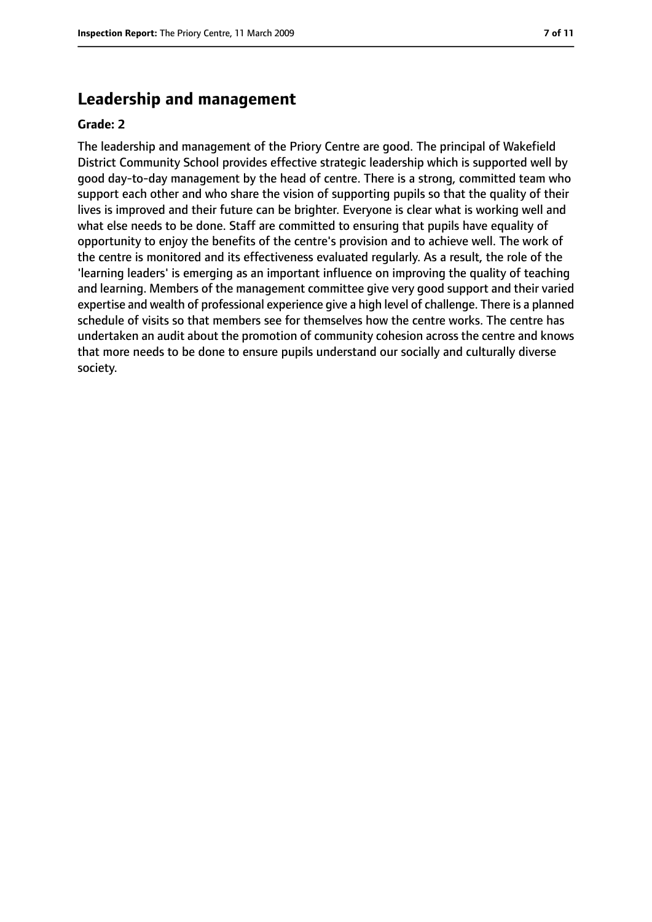# **Leadership and management**

#### **Grade: 2**

The leadership and management of the Priory Centre are good. The principal of Wakefield District Community School provides effective strategic leadership which is supported well by good day-to-day management by the head of centre. There is a strong, committed team who support each other and who share the vision of supporting pupils so that the quality of their lives is improved and their future can be brighter. Everyone is clear what is working well and what else needs to be done. Staff are committed to ensuring that pupils have equality of opportunity to enjoy the benefits of the centre's provision and to achieve well. The work of the centre is monitored and its effectiveness evaluated regularly. As a result, the role of the 'learning leaders' is emerging as an important influence on improving the quality of teaching and learning. Members of the management committee give very good support and their varied expertise and wealth of professional experience give a high level of challenge. There is a planned schedule of visits so that members see for themselves how the centre works. The centre has undertaken an audit about the promotion of community cohesion across the centre and knows that more needs to be done to ensure pupils understand our socially and culturally diverse society.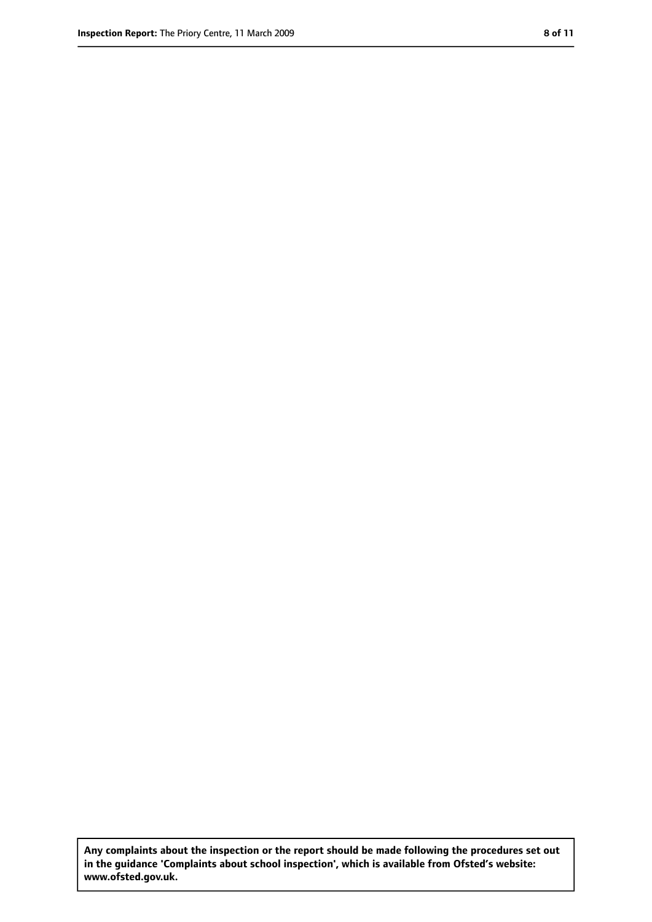**Any complaints about the inspection or the report should be made following the procedures set out in the guidance 'Complaints about school inspection', which is available from Ofsted's website: www.ofsted.gov.uk.**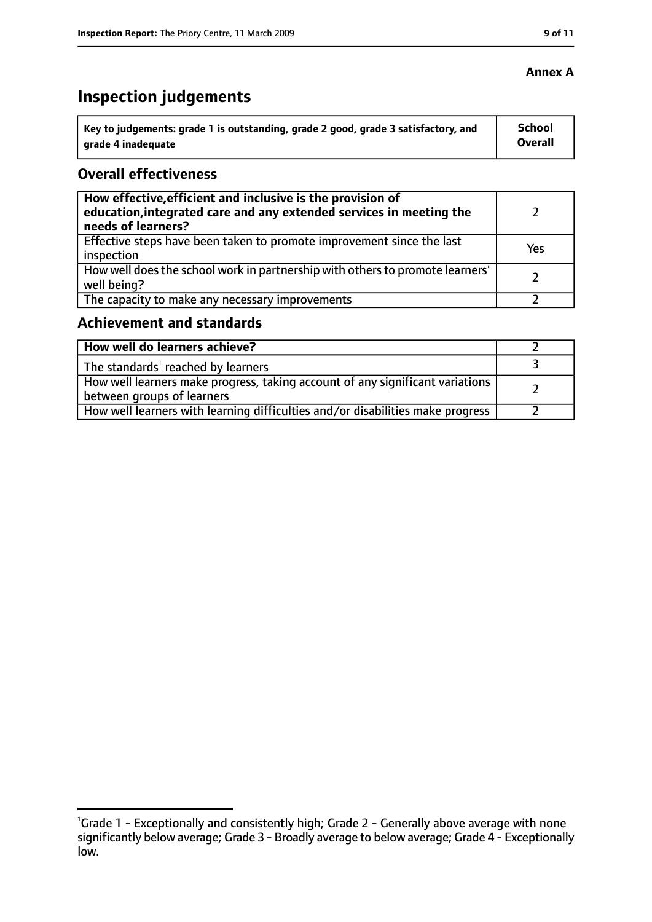#### **Annex A**

# **Inspection judgements**

| Key to judgements: grade 1 is outstanding, grade 2 good, grade 3 satisfactory, and | <b>School</b> |
|------------------------------------------------------------------------------------|---------------|
| arade 4 inadequate                                                                 | Overall       |

## **Overall effectiveness**

| How effective, efficient and inclusive is the provision of<br>education, integrated care and any extended services in meeting the<br>needs of learners? |     |
|---------------------------------------------------------------------------------------------------------------------------------------------------------|-----|
| Effective steps have been taken to promote improvement since the last<br>inspection                                                                     | Yes |
| How well does the school work in partnership with others to promote learners'<br>well being?                                                            |     |
| The capacity to make any necessary improvements                                                                                                         |     |

# **Achievement and standards**

| How well do learners achieve?                                                                               |  |
|-------------------------------------------------------------------------------------------------------------|--|
| $\perp$ The standards <sup>1</sup> reached by learners                                                      |  |
| How well learners make progress, taking account of any significant variations<br>between groups of learners |  |
| How well learners with learning difficulties and/or disabilities make progress                              |  |

<sup>&</sup>lt;sup>1</sup>Grade 1 - Exceptionally and consistently high; Grade 2 - Generally above average with none significantly below average; Grade 3 - Broadly average to below average; Grade 4 - Exceptionally low.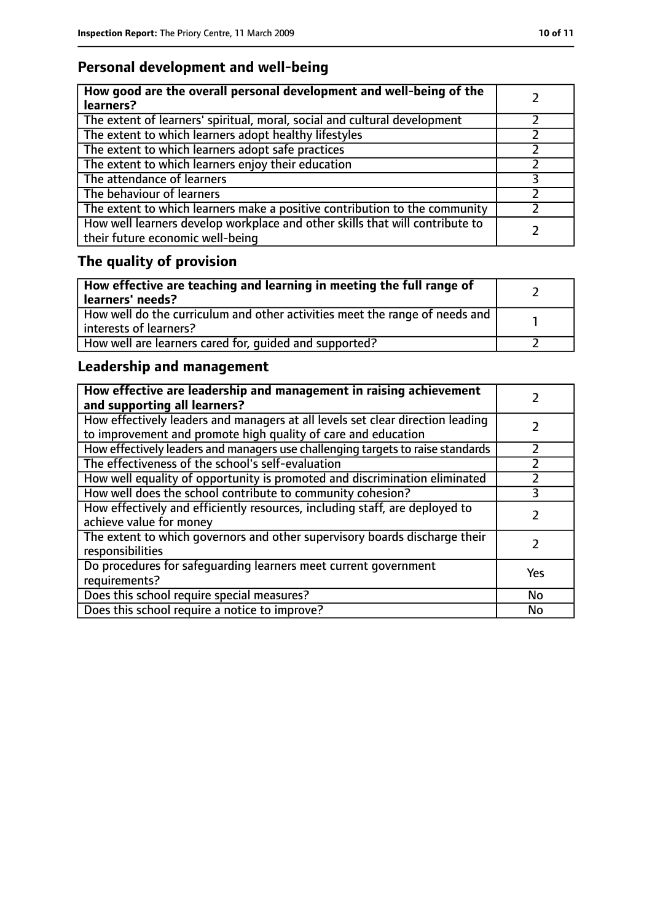# **Personal development and well-being**

| How good are the overall personal development and well-being of the<br>learners?                                 |  |
|------------------------------------------------------------------------------------------------------------------|--|
| The extent of learners' spiritual, moral, social and cultural development                                        |  |
| The extent to which learners adopt healthy lifestyles                                                            |  |
| The extent to which learners adopt safe practices                                                                |  |
| The extent to which learners enjoy their education                                                               |  |
| The attendance of learners                                                                                       |  |
| The behaviour of learners                                                                                        |  |
| The extent to which learners make a positive contribution to the community                                       |  |
| How well learners develop workplace and other skills that will contribute to<br>their future economic well-being |  |

# **The quality of provision**

| How effective are teaching and learning in meeting the full range of<br>learners' needs?              |  |
|-------------------------------------------------------------------------------------------------------|--|
| How well do the curriculum and other activities meet the range of needs and<br>interests of learners? |  |
| How well are learners cared for, quided and supported?                                                |  |

# **Leadership and management**

| How effective are leadership and management in raising achievement<br>and supporting all learners?                                              |     |
|-------------------------------------------------------------------------------------------------------------------------------------------------|-----|
| How effectively leaders and managers at all levels set clear direction leading<br>to improvement and promote high quality of care and education |     |
| How effectively leaders and managers use challenging targets to raise standards                                                                 |     |
| The effectiveness of the school's self-evaluation                                                                                               |     |
| How well equality of opportunity is promoted and discrimination eliminated                                                                      |     |
| How well does the school contribute to community cohesion?                                                                                      | 3   |
| How effectively and efficiently resources, including staff, are deployed to<br>achieve value for money                                          |     |
| The extent to which governors and other supervisory boards discharge their<br>responsibilities                                                  |     |
| Do procedures for safequarding learners meet current government<br>requirements?                                                                | Yes |
| Does this school require special measures?                                                                                                      | No  |
| Does this school require a notice to improve?                                                                                                   | No  |